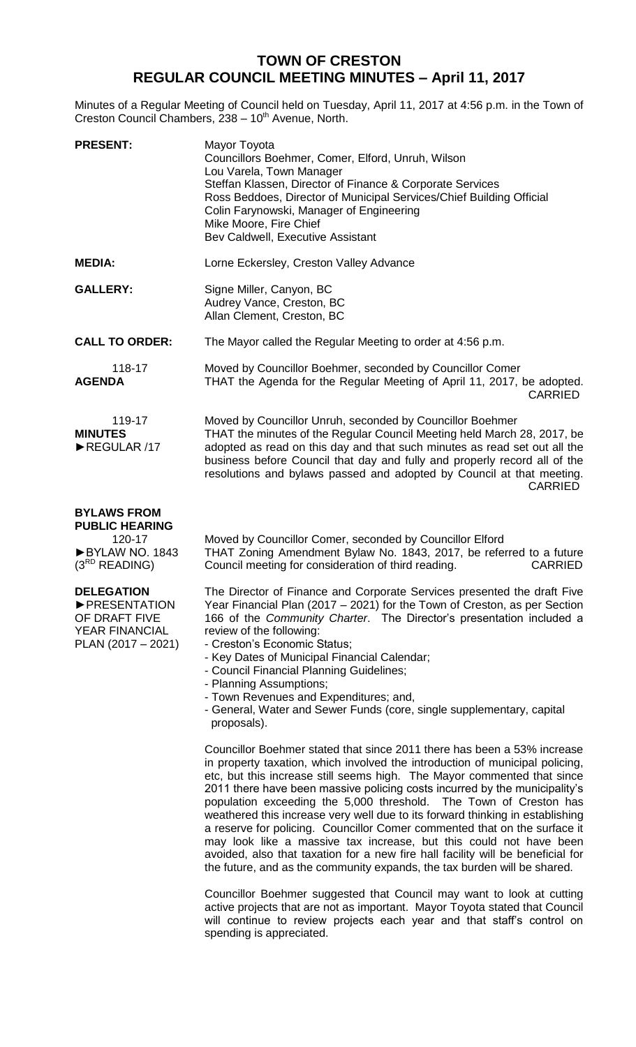## **TOWN OF CRESTON REGULAR COUNCIL MEETING MINUTES – April 11, 2017**

Minutes of a Regular Meeting of Council held on Tuesday, April 11, 2017 at 4:56 p.m. in the Town of Creston Council Chambers, 238 - 10<sup>th</sup> Avenue, North.

| <b>PRESENT:</b>                         | Mayor Toyota<br>Councillors Boehmer, Comer, Elford, Unruh, Wilson<br>Lou Varela, Town Manager<br>Steffan Klassen, Director of Finance & Corporate Services<br>Ross Beddoes, Director of Municipal Services/Chief Building Official<br>Colin Farynowski, Manager of Engineering<br>Mike Moore, Fire Chief<br>Bev Caldwell, Executive Assistant                                             |
|-----------------------------------------|-------------------------------------------------------------------------------------------------------------------------------------------------------------------------------------------------------------------------------------------------------------------------------------------------------------------------------------------------------------------------------------------|
| <b>MEDIA:</b>                           | Lorne Eckersley, Creston Valley Advance                                                                                                                                                                                                                                                                                                                                                   |
| <b>GALLERY:</b>                         | Signe Miller, Canyon, BC<br>Audrey Vance, Creston, BC<br>Allan Clement, Creston, BC                                                                                                                                                                                                                                                                                                       |
| <b>CALL TO ORDER:</b>                   | The Mayor called the Regular Meeting to order at 4:56 p.m.                                                                                                                                                                                                                                                                                                                                |
| 118-17<br><b>AGENDA</b>                 | Moved by Councillor Boehmer, seconded by Councillor Comer<br>THAT the Agenda for the Regular Meeting of April 11, 2017, be adopted.<br><b>CARRIED</b>                                                                                                                                                                                                                                     |
| 119-17<br><b>MINUTES</b><br>REGULAR /17 | Moved by Councillor Unruh, seconded by Councillor Boehmer<br>THAT the minutes of the Regular Council Meeting held March 28, 2017, be<br>adopted as read on this day and that such minutes as read set out all the<br>business before Council that day and fully and properly record all of the<br>resolutions and bylaws passed and adopted by Council at that meeting.<br><b>CARRIED</b> |

## **BYLAWS FROM**

**PUBLIC HEARING** 120-17 ►BYLAW NO. 1843 (3RD READING)

## **DELEGATION**

►PRESENTATION OF DRAFT FIVE YEAR FINANCIAL PLAN (2017 – 2021) Moved by Councillor Comer, seconded by Councillor Elford THAT Zoning Amendment Bylaw No. 1843, 2017, be referred to a future Council meeting for consideration of third reading. CARRIED

The Director of Finance and Corporate Services presented the draft Five Year Financial Plan (2017 – 2021) for the Town of Creston, as per Section 166 of the *Community Charter*. The Director's presentation included a review of the following:

- Creston's Economic Status;
- Key Dates of Municipal Financial Calendar;
- Council Financial Planning Guidelines;
- Planning Assumptions;
- Town Revenues and Expenditures; and,
- General, Water and Sewer Funds (core, single supplementary, capital proposals).

Councillor Boehmer stated that since 2011 there has been a 53% increase in property taxation, which involved the introduction of municipal policing, etc, but this increase still seems high. The Mayor commented that since 2011 there have been massive policing costs incurred by the municipality's population exceeding the 5,000 threshold. The Town of Creston has weathered this increase very well due to its forward thinking in establishing a reserve for policing. Councillor Comer commented that on the surface it may look like a massive tax increase, but this could not have been avoided, also that taxation for a new fire hall facility will be beneficial for the future, and as the community expands, the tax burden will be shared.

Councillor Boehmer suggested that Council may want to look at cutting active projects that are not as important. Mayor Toyota stated that Council will continue to review projects each year and that staff's control on spending is appreciated.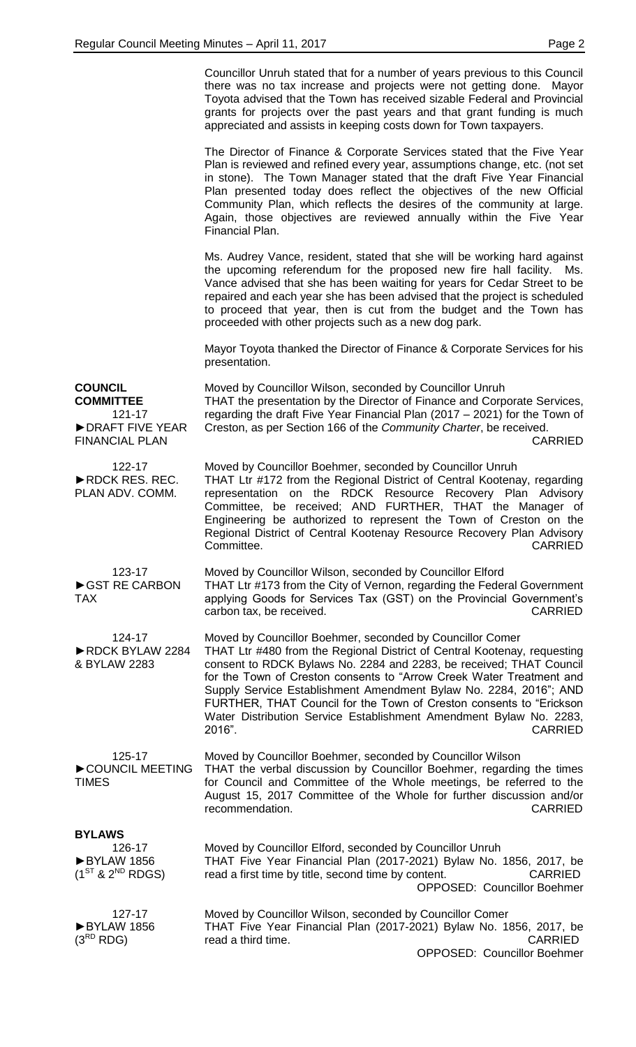|                                                                                          | Councillor Unruh stated that for a number of years previous to this Council<br>there was no tax increase and projects were not getting done. Mayor<br>Toyota advised that the Town has received sizable Federal and Provincial<br>grants for projects over the past years and that grant funding is much<br>appreciated and assists in keeping costs down for Town taxpayers.                                                                                                                                                      |
|------------------------------------------------------------------------------------------|------------------------------------------------------------------------------------------------------------------------------------------------------------------------------------------------------------------------------------------------------------------------------------------------------------------------------------------------------------------------------------------------------------------------------------------------------------------------------------------------------------------------------------|
|                                                                                          | The Director of Finance & Corporate Services stated that the Five Year<br>Plan is reviewed and refined every year, assumptions change, etc. (not set<br>in stone). The Town Manager stated that the draft Five Year Financial<br>Plan presented today does reflect the objectives of the new Official<br>Community Plan, which reflects the desires of the community at large.<br>Again, those objectives are reviewed annually within the Five Year<br>Financial Plan.                                                            |
|                                                                                          | Ms. Audrey Vance, resident, stated that she will be working hard against<br>the upcoming referendum for the proposed new fire hall facility. Ms.<br>Vance advised that she has been waiting for years for Cedar Street to be<br>repaired and each year she has been advised that the project is scheduled<br>to proceed that year, then is cut from the budget and the Town has<br>proceeded with other projects such as a new dog park.                                                                                           |
|                                                                                          | Mayor Toyota thanked the Director of Finance & Corporate Services for his<br>presentation.                                                                                                                                                                                                                                                                                                                                                                                                                                         |
| <b>COUNCIL</b><br><b>COMMITTEE</b><br>121-17<br>DRAFT FIVE YEAR<br><b>FINANCIAL PLAN</b> | Moved by Councillor Wilson, seconded by Councillor Unruh<br>THAT the presentation by the Director of Finance and Corporate Services,<br>regarding the draft Five Year Financial Plan (2017 – 2021) for the Town of<br>Creston, as per Section 166 of the Community Charter, be received.<br><b>CARRIED</b>                                                                                                                                                                                                                         |
|                                                                                          |                                                                                                                                                                                                                                                                                                                                                                                                                                                                                                                                    |
| 122-17<br>RDCK RES. REC.<br>PLAN ADV. COMM.                                              | Moved by Councillor Boehmer, seconded by Councillor Unruh<br>THAT Ltr #172 from the Regional District of Central Kootenay, regarding<br>representation on the RDCK Resource Recovery Plan Advisory<br>Committee, be received; AND FURTHER, THAT the Manager of<br>Engineering be authorized to represent the Town of Creston on the<br>Regional District of Central Kootenay Resource Recovery Plan Advisory<br><b>CARRIED</b><br>Committee.                                                                                       |
| 123-17<br>GST RE CARBON<br><b>TAX</b>                                                    | Moved by Councillor Wilson, seconded by Councillor Elford<br>THAT Ltr #173 from the City of Vernon, regarding the Federal Government<br>applying Goods for Services Tax (GST) on the Provincial Government's<br>carbon tax, be received.<br><b>CARRIED</b>                                                                                                                                                                                                                                                                         |
| 124-17<br>RDCK BYLAW 2284<br>& BYLAW 2283                                                | Moved by Councillor Boehmer, seconded by Councillor Comer<br>THAT Ltr #480 from the Regional District of Central Kootenay, requesting<br>consent to RDCK Bylaws No. 2284 and 2283, be received; THAT Council<br>for the Town of Creston consents to "Arrow Creek Water Treatment and<br>Supply Service Establishment Amendment Bylaw No. 2284, 2016"; AND<br>FURTHER, THAT Council for the Town of Creston consents to "Erickson<br>Water Distribution Service Establishment Amendment Bylaw No. 2283,<br>2016".<br><b>CARRIED</b> |
| 125-17<br>COUNCIL MEETING<br><b>TIMES</b>                                                | Moved by Councillor Boehmer, seconded by Councillor Wilson<br>THAT the verbal discussion by Councillor Boehmer, regarding the times<br>for Council and Committee of the Whole meetings, be referred to the<br>August 15, 2017 Committee of the Whole for further discussion and/or<br>recommendation.<br><b>CARRIED</b>                                                                                                                                                                                                            |
| <b>BYLAWS</b>                                                                            |                                                                                                                                                                                                                                                                                                                                                                                                                                                                                                                                    |
| 126-17<br>BYLAW 1856<br>$(1^{ST}$ & $2^{ND}$ RDGS)                                       | Moved by Councillor Elford, seconded by Councillor Unruh<br>THAT Five Year Financial Plan (2017-2021) Bylaw No. 1856, 2017, be<br>read a first time by title, second time by content.<br><b>CARRIED</b><br><b>OPPOSED: Councillor Boehmer</b>                                                                                                                                                                                                                                                                                      |
| 127-17<br>BYLAW 1856<br>$(3^{RD}$ RDG)                                                   | Moved by Councillor Wilson, seconded by Councillor Comer<br>THAT Five Year Financial Plan (2017-2021) Bylaw No. 1856, 2017, be<br>read a third time.<br><b>CARRIED</b><br><b>OPPOSED: Councillor Boehmer</b>                                                                                                                                                                                                                                                                                                                       |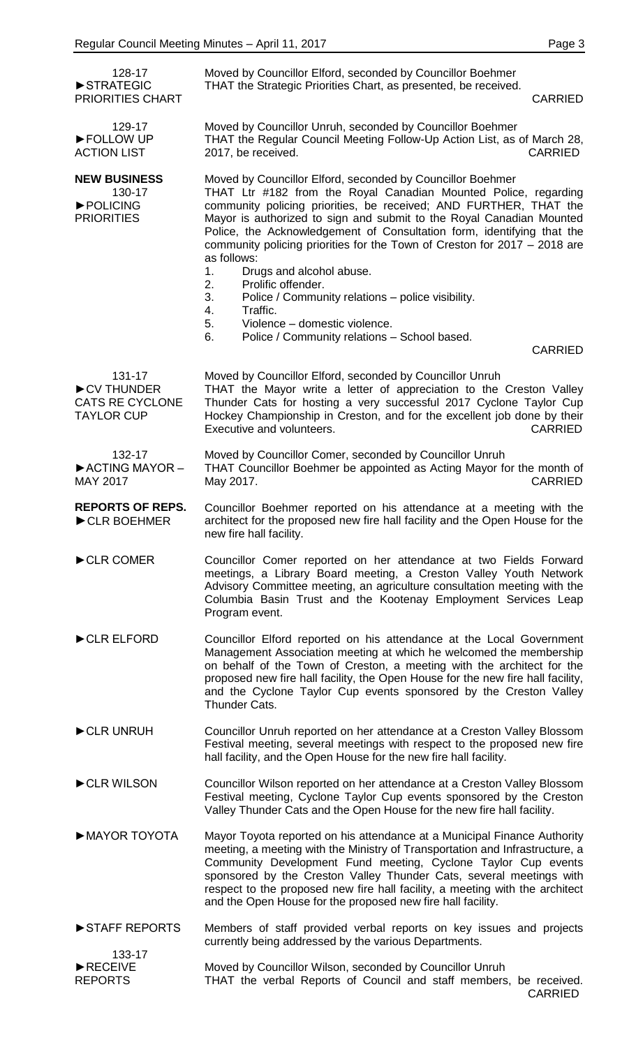| 128-17<br>STRATEGIC                                                 | Moved by Councillor Elford, seconded by Councillor Boehmer<br>THAT the Strategic Priorities Chart, as presented, be received.                                                                                                                                                                                                                                                                                                                                                      |
|---------------------------------------------------------------------|------------------------------------------------------------------------------------------------------------------------------------------------------------------------------------------------------------------------------------------------------------------------------------------------------------------------------------------------------------------------------------------------------------------------------------------------------------------------------------|
| PRIORITIES CHART                                                    | <b>CARRIED</b>                                                                                                                                                                                                                                                                                                                                                                                                                                                                     |
| 129-17<br>FOLLOW UP<br><b>ACTION LIST</b>                           | Moved by Councillor Unruh, seconded by Councillor Boehmer<br>THAT the Regular Council Meeting Follow-Up Action List, as of March 28,<br>2017, be received.<br><b>CARRIED</b>                                                                                                                                                                                                                                                                                                       |
| <b>NEW BUSINESS</b><br>130-17<br>POLICING<br><b>PRIORITIES</b>      | Moved by Councillor Elford, seconded by Councillor Boehmer<br>THAT Ltr #182 from the Royal Canadian Mounted Police, regarding<br>community policing priorities, be received; AND FURTHER, THAT the<br>Mayor is authorized to sign and submit to the Royal Canadian Mounted<br>Police, the Acknowledgement of Consultation form, identifying that the<br>community policing priorities for the Town of Creston for 2017 - 2018 are<br>as follows:<br>Drugs and alcohol abuse.<br>1. |
|                                                                     | Prolific offender.<br>2.<br>3.<br>Police / Community relations - police visibility.<br>4.<br>Traffic.<br>5.<br>Violence - domestic violence.                                                                                                                                                                                                                                                                                                                                       |
|                                                                     | 6.<br>Police / Community relations - School based.<br><b>CARRIED</b>                                                                                                                                                                                                                                                                                                                                                                                                               |
| 131-17<br>CV THUNDER<br><b>CATS RE CYCLONE</b><br><b>TAYLOR CUP</b> | Moved by Councillor Elford, seconded by Councillor Unruh<br>THAT the Mayor write a letter of appreciation to the Creston Valley<br>Thunder Cats for hosting a very successful 2017 Cyclone Taylor Cup<br>Hockey Championship in Creston, and for the excellent job done by their<br><b>CARRIED</b><br>Executive and volunteers.                                                                                                                                                    |
| 132-17<br>ACTING MAYOR-<br><b>MAY 2017</b>                          | Moved by Councillor Comer, seconded by Councillor Unruh<br>THAT Councillor Boehmer be appointed as Acting Mayor for the month of<br><b>CARRIED</b><br>May 2017.                                                                                                                                                                                                                                                                                                                    |
| <b>REPORTS OF REPS.</b><br>CLR BOEHMER                              | Councillor Boehmer reported on his attendance at a meeting with the<br>architect for the proposed new fire hall facility and the Open House for the<br>new fire hall facility.                                                                                                                                                                                                                                                                                                     |
| CLR COMER                                                           | Councillor Comer reported on her attendance at two Fields Forward<br>meetings, a Library Board meeting, a Creston Valley Youth Network<br>Advisory Committee meeting, an agriculture consultation meeting with the<br>Columbia Basin Trust and the Kootenay Employment Services Leap<br>Program event.                                                                                                                                                                             |
| CLR ELFORD                                                          | Councillor Elford reported on his attendance at the Local Government<br>Management Association meeting at which he welcomed the membership<br>on behalf of the Town of Creston, a meeting with the architect for the<br>proposed new fire hall facility, the Open House for the new fire hall facility,<br>and the Cyclone Taylor Cup events sponsored by the Creston Valley<br>Thunder Cats.                                                                                      |
| CLR UNRUH                                                           | Councillor Unruh reported on her attendance at a Creston Valley Blossom<br>Festival meeting, several meetings with respect to the proposed new fire<br>hall facility, and the Open House for the new fire hall facility.                                                                                                                                                                                                                                                           |
| CLR WILSON                                                          | Councillor Wilson reported on her attendance at a Creston Valley Blossom<br>Festival meeting, Cyclone Taylor Cup events sponsored by the Creston<br>Valley Thunder Cats and the Open House for the new fire hall facility.                                                                                                                                                                                                                                                         |
| MAYOR TOYOTA                                                        | Mayor Toyota reported on his attendance at a Municipal Finance Authority<br>meeting, a meeting with the Ministry of Transportation and Infrastructure, a<br>Community Development Fund meeting, Cyclone Taylor Cup events<br>sponsored by the Creston Valley Thunder Cats, several meetings with<br>respect to the proposed new fire hall facility, a meeting with the architect<br>and the Open House for the proposed new fire hall facility.                                    |
| STAFF REPORTS<br>133-17                                             | Members of staff provided verbal reports on key issues and projects<br>currently being addressed by the various Departments.                                                                                                                                                                                                                                                                                                                                                       |
| RECEIVE<br><b>REPORTS</b>                                           | Moved by Councillor Wilson, seconded by Councillor Unruh<br>THAT the verbal Reports of Council and staff members, be received.<br><b>CARRIED</b>                                                                                                                                                                                                                                                                                                                                   |